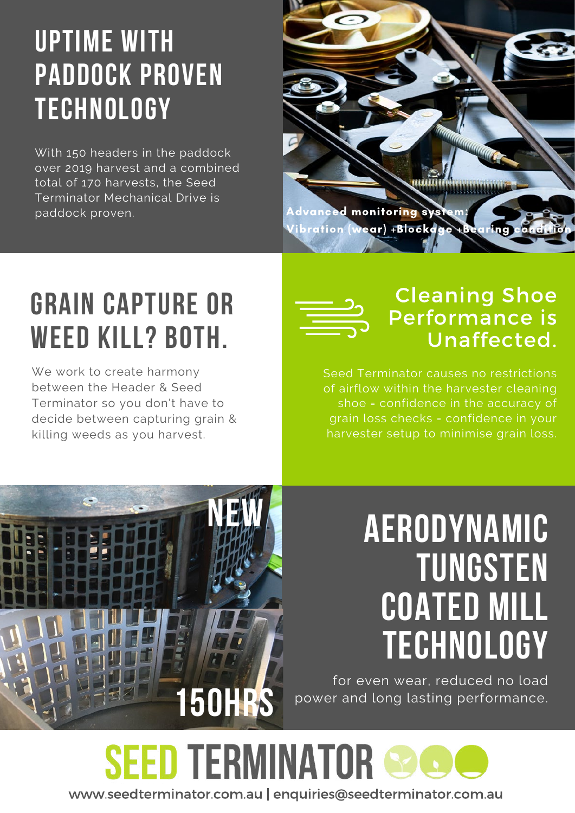## uptime with paddock proven **TECHNOLOGY**

With 150 headers in the paddock over 2019 harvest and a combined total of 170 harvests, the Seed Terminator Mechanical Drive is paddock proven.



# GRAIN CAPTURE OR WEED KILL? BOTH.

We work to create harmony between the Header & Seed Terminator so you don't have to decide between capturing grain & killing weeds as you harvest.



### Cleaning Shoe Performance is Unaffected.

Seed Terminator causes no restrictions of airflow within the harvester cleaning shoe = confidence in the accuracy of grain loss checks = confidence in your harvester setup to minimise grain loss.



# Aerodynamic **TUNGSTEN** coated mill **TECHNOLOGY**

for even wear, reduced no load power and long lasting performance.

**SEED TERMINATOR** www.seedterminator.com.au | enquiries@seedterminator.com.au